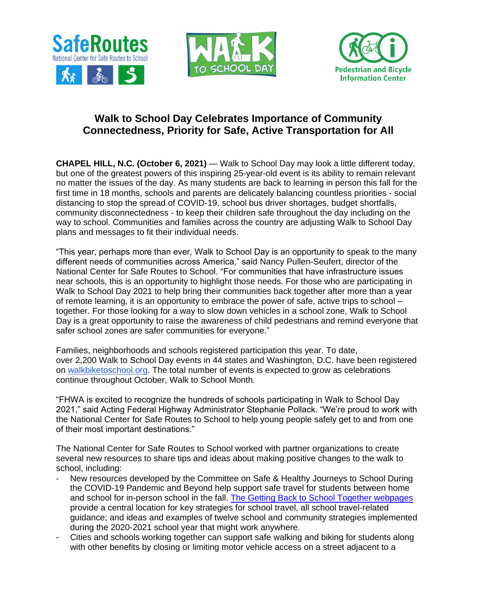





## **Walk to School Day Celebrates Importance of Community Connectedness, Priority for Safe, Active Transportation for All**

**CHAPEL HILL, N.C. (October 6, 2021) — Walk to School Day may look a little different today,** but one of the greatest powers of this inspiring 25-year-old event is its ability to remain relevant no matter the issues of the day. As many students are back to learning in person this fall for the first time in 18 months, schools and parents are delicately balancing countless priorities - social distancing to stop the spread of COVID-19, school bus driver shortages, budget shortfalls, community disconnectedness - to keep their children safe throughout the day including on the way to school. Communities and families across the country are adjusting Walk to School Day plans and messages to fit their individual needs.

"This year, perhaps more than ever, Walk to School Day is an opportunity to speak to the many different needs of communities across America," said Nancy Pullen-Seufert, director of the National Center for Safe Routes to School. "For communities that have infrastructure issues near schools, this is an opportunity to highlight those needs. For those who are participating in Walk to School Day 2021 to help bring their communities back together after more than a year of remote learning, it is an opportunity to embrace the power of safe, active trips to school – together. For those looking for a way to slow down vehicles in a school zone, Walk to School Day is a great opportunity to raise the awareness of child pedestrians and remind everyone that safer school zones are safer communities for everyone."

Families, neighborhoods and schools registered participation this year. To date, over 2,200 Walk to School Day events in 44 states and Washington, D.C. have been registered on [walkbiketoschool.org.](http://www.walkbiketoschool.org/) The total number of events is expected to grow as celebrations continue throughout October, Walk to School Month.

"FHWA is excited to recognize the hundreds of schools participating in Walk to School Day 2021," said Acting Federal Highway Administrator Stephanie Pollack. "We're proud to work with the National Center for Safe Routes to School to help young people safely get to and from one of their most important destinations."

The National Center for Safe Routes to School worked with partner organizations to create several new resources to share tips and ideas about making positive changes to the walk to school, including:

- New resources developed by the Committee on Safe & Healthy Journeys to School During the COVID-19 Pandemic and Beyond help support safe travel for students between home and school for in-person school in the fall. [The Getting Back to School Together webpages](https://www.visionzeroforyouth.org/back-to-school-together/) provide a central location for key strategies for school travel, all school travel-related guidance; and ideas and examples of twelve school and community strategies implemented during the 2020-2021 school year that might work anywhere.
- Cities and schools working together can support safe walking and biking for students along with other benefits by closing or limiting motor vehicle access on a street adjacent to a